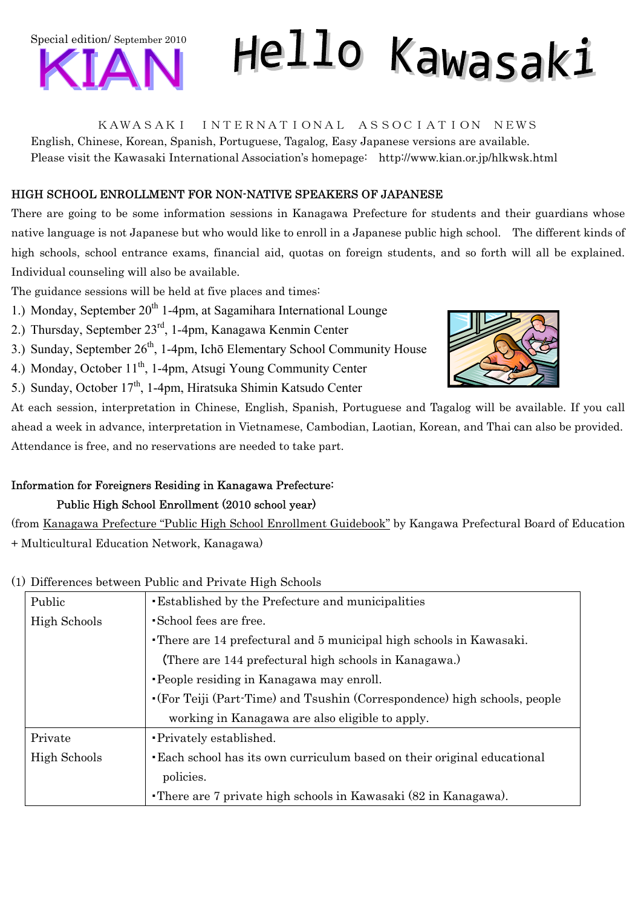

# Hello Kawasaki

KAWASAKI INTERNATIONAL ASSOCIATION NEWS

English, Chinese, Korean, Spanish, Portuguese, Tagalog, Easy Japanese versions are available. Please visit the Kawasaki International Association's homepage: http://www.kian.or.jp/hlkwsk.html

## HIGH SCHOOL ENROLLMENT FOR NON-NATIVE SPEAKERS OF JAPANESE

There are going to be some information sessions in Kanagawa Prefecture for students and their guardians whose native language is not Japanese but who would like to enroll in a Japanese public high school. The different kinds of high schools, school entrance exams, financial aid, quotas on foreign students, and so forth will all be explained. Individual counseling will also be available.

The guidance sessions will be held at five places and times:

- 1.) Monday, September  $20<sup>th</sup>$  1-4pm, at Sagamihara International Lounge
- 2.) Thursday, September 23rd, 1-4pm, Kanagawa Kenmin Center
- 3.) Sunday, September  $26<sup>th</sup>$ , 1-4pm, Ichō Elementary School Community House
- 4.) Monday, October  $11<sup>th</sup>$ , 1-4pm, Atsugi Young Community Center
- 5.) Sunday, October 17<sup>th</sup>, 1-4pm, Hiratsuka Shimin Katsudo Center



At each session, interpretation in Chinese, English, Spanish, Portuguese and Tagalog will be available. If you call ahead a week in advance, interpretation in Vietnamese, Cambodian, Laotian, Korean, and Thai can also be provided. Attendance is free, and no reservations are needed to take part.

# Information for Foreigners Residing in Kanagawa Prefecture:

# Public High School Enrollment (2010 school year)

(from Kanagawa Prefecture "Public High School Enrollment Guidebook" by Kangawa Prefectural Board of Education + Multicultural Education Network, Kanagawa)

## (1) Differences between Public and Private High Schools

| Public       | <b>Established by the Prefecture and municipalities</b>                       |
|--------------|-------------------------------------------------------------------------------|
| High Schools | • School fees are free.                                                       |
|              | • There are 14 prefectural and 5 municipal high schools in Kawasaki.          |
|              | (There are 144 prefectural high schools in Kanagawa.)                         |
|              | •People residing in Kanagawa may enroll.                                      |
|              | • (For Teiji (Part-Time) and Tsushin (Correspondence) high schools, people    |
|              | working in Kanagawa are also eligible to apply.                               |
| Private      | • Privately established.                                                      |
| High Schools | <b>Each school has its own curriculum based on their original educational</b> |
|              | policies.                                                                     |
|              | • There are 7 private high schools in Kawasaki (82 in Kanagawa).              |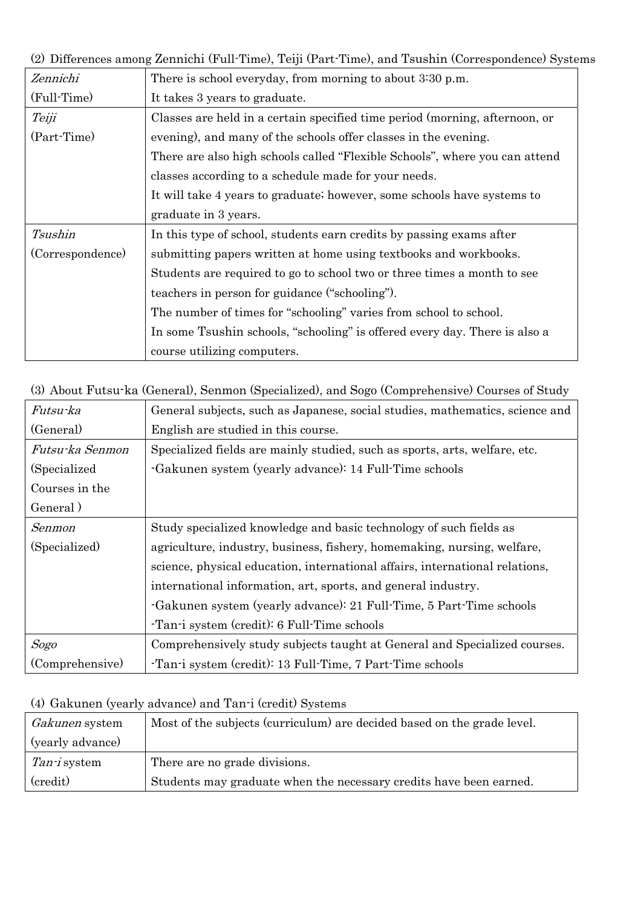(2) Differences among Zennichi (Full-Time), Teiji (Part-Time), and Tsushin (Correspondence) Systems

| Zennichi         | There is school everyday, from morning to about 3:30 p.m.                   |
|------------------|-----------------------------------------------------------------------------|
| (Full-Time)      | It takes 3 years to graduate.                                               |
| Teiji            | Classes are held in a certain specified time period (morning, afternoon, or |
| (Part-Time)      | evening), and many of the schools offer classes in the evening.             |
|                  | There are also high schools called "Flexible Schools", where you can attend |
|                  | classes according to a schedule made for your needs.                        |
|                  | It will take 4 years to graduate; however, some schools have systems to     |
|                  | graduate in 3 years.                                                        |
| Tsushin          | In this type of school, students earn credits by passing exams after        |
| (Correspondence) | submitting papers written at home using textbooks and workbooks.            |
|                  | Students are required to go to school two or three times a month to see     |
|                  | teachers in person for guidance ("schooling").                              |
|                  | The number of times for "schooling" varies from school to school.           |
|                  | In some Tsushin schools, "schooling" is offered every day. There is also a  |
|                  | course utilizing computers.                                                 |

(3) About Futsu-ka (General), Senmon (Specialized), and Sogo (Comprehensive) Courses of Study

| Futsu-ka        | General subjects, such as Japanese, social studies, mathematics, science and |
|-----------------|------------------------------------------------------------------------------|
| (General)       | English are studied in this course.                                          |
| Futsu-ka Senmon | Specialized fields are mainly studied, such as sports, arts, welfare, etc.   |
| (Specialized)   | -Gakunen system (yearly advance): 14 Full-Time schools                       |
| Courses in the  |                                                                              |
| General)        |                                                                              |
| Senmon          | Study specialized knowledge and basic technology of such fields as           |
| (Specialized)   | agriculture, industry, business, fishery, homemaking, nursing, welfare,      |
|                 | science, physical education, international affairs, international relations, |
|                 | international information, art, sports, and general industry.                |
|                 | -Gakunen system (yearly advance): 21 Full-Time, 5 Part-Time schools          |
|                 | Tan-i system (credit): 6 Full-Time schools                                   |
| Sogo            | Comprehensively study subjects taught at General and Specialized courses.    |
| (Comprehensive) | Tan-i system (credit): 13 Full-Time, 7 Part-Time schools                     |

# (4) Gakunen (yearly advance) and Tan-i (credit) Systems

| <i>Gakunen</i> system | Most of the subjects (curriculum) are decided based on the grade level. |
|-----------------------|-------------------------------------------------------------------------|
| (yearly advance)      |                                                                         |
| <i>Tan-i</i> system   | There are no grade divisions.                                           |
| (credit)              | Students may graduate when the necessary credits have been earned.      |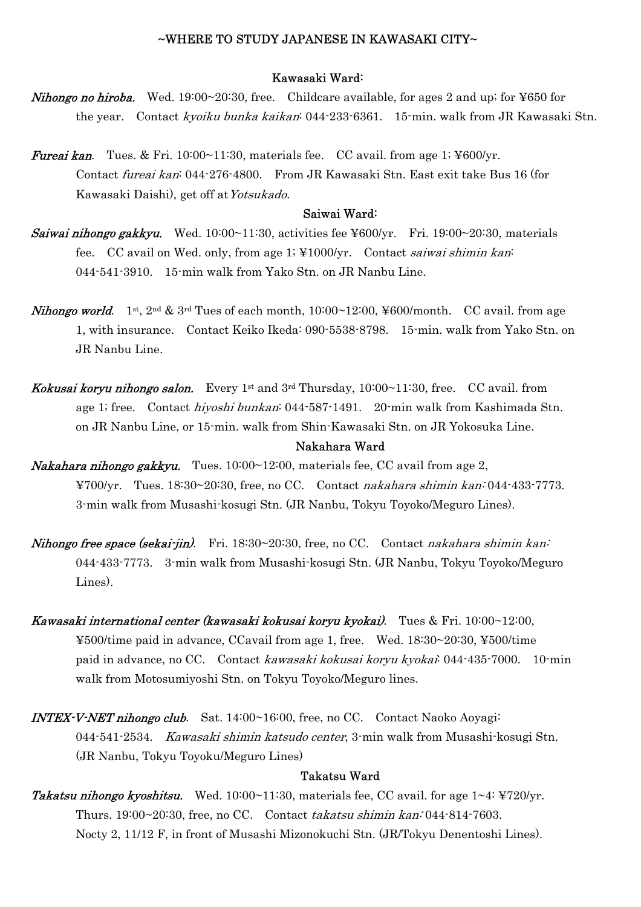#### $\sim$ WHERE TO STUDY JAPANESE IN KAWASAKI CITY $\sim$

## Kawasaki Ward:

- **Nihongo no hiroba.** Wed. 19:00~20:30, free. Childcare available, for ages 2 and up; for ¥650 for the year. Contact kyoiku bunka kaikan: 044-233-6361. 15-min. walk from JR Kawasaki Stn.
- **Fureai kan.** Tues. & Fri. 10:00~11:30, materials fee. CC avail. from age 1; ¥600/yr. Contact fureai kan: 044-276-4800. From JR Kawasaki Stn. East exit take Bus 16 (for Kawasaki Daishi), get off atYotsukado.

#### Saiwai Ward:

- **Saiwai nihongo gakkyu.** Wed.  $10:00^\circ 11:30$ , activities fee ¥600/yr. Fri. 19:00~20:30, materials fee. CC avail on Wed. only, from age 1; ¥1000/yr. Contact saiwai shimin kan: 044-541-3910. 15-min walk from Yako Stn. on JR Nanbu Line.
- **Nihongo world.** 1<sup>st</sup>, 2<sup>nd</sup> & 3<sup>rd</sup> Tues of each month,  $10:00~12:00$ ,  $400/$ month. CC avail. from age 1, with insurance. Contact Keiko Ikeda: 090-5538-8798. 15-min. walk from Yako Stn. on JR Nanbu Line.
- *Kokusai koryu nihongo salon.* Every 1<sup>st</sup> and  $3<sup>rd</sup>$  Thursday, 10:00~11:30, free. CC avail. from age 1; free. Contact hiyoshi bunkan: 044-587-1491. 20-min walk from Kashimada Stn. on JR Nanbu Line, or 15-min. walk from Shin-Kawasaki Stn. on JR Yokosuka Line.

#### Nakahara Ward

- **Nakahara nihongo gakkyu.** Tues.  $10:00~12:00$ , materials fee, CC avail from age 2, ¥700/yr. Tues. 18:30~20:30, free, no CC. Contact nakahara shimin kan: 044-433-7773. 3-min walk from Musashi-kosugi Stn. (JR Nanbu, Tokyu Toyoko/Meguro Lines).
- **Nihongo free space (sekai-jin).** Fri. 18:30~20:30, free, no CC. Contact nakahara shimin kan: 044-433-7773. 3-min walk from Musashi-kosugi Stn. (JR Nanbu, Tokyu Toyoko/Meguro Lines).
- Kawasaki international center (kawasaki kokusai koryu kyokai). Tues & Fri. 10:00~12:00, ¥500/time paid in advance, CCavail from age 1, free. Wed. 18:30~20:30, ¥500/time paid in advance, no CC. Contact kawasaki kokusai koryu kyokai: 044-435-7000. 10-min walk from Motosumiyoshi Stn. on Tokyu Toyoko/Meguro lines.
- INTEX-V-NET nihongo club. Sat. 14:00~16:00, free, no CC. Contact Naoko Aoyagi: 044-541-2534. Kawasaki shimin katsudo center, 3-min walk from Musashi-kosugi Stn. (JR Nanbu, Tokyu Toyoku/Meguro Lines)

#### Takatsu Ward

**Takatsu nihongo kyoshitsu.** Wed.  $10:00~11:30$ , materials fee, CC avail. for age  $1~4$ : ¥720/yr. Thurs. 19:00~20:30, free, no CC. Contact takatsu shimin kan: 044-814-7603. Nocty 2, 11/12 F, in front of Musashi Mizonokuchi Stn. (JR/Tokyu Denentoshi Lines).